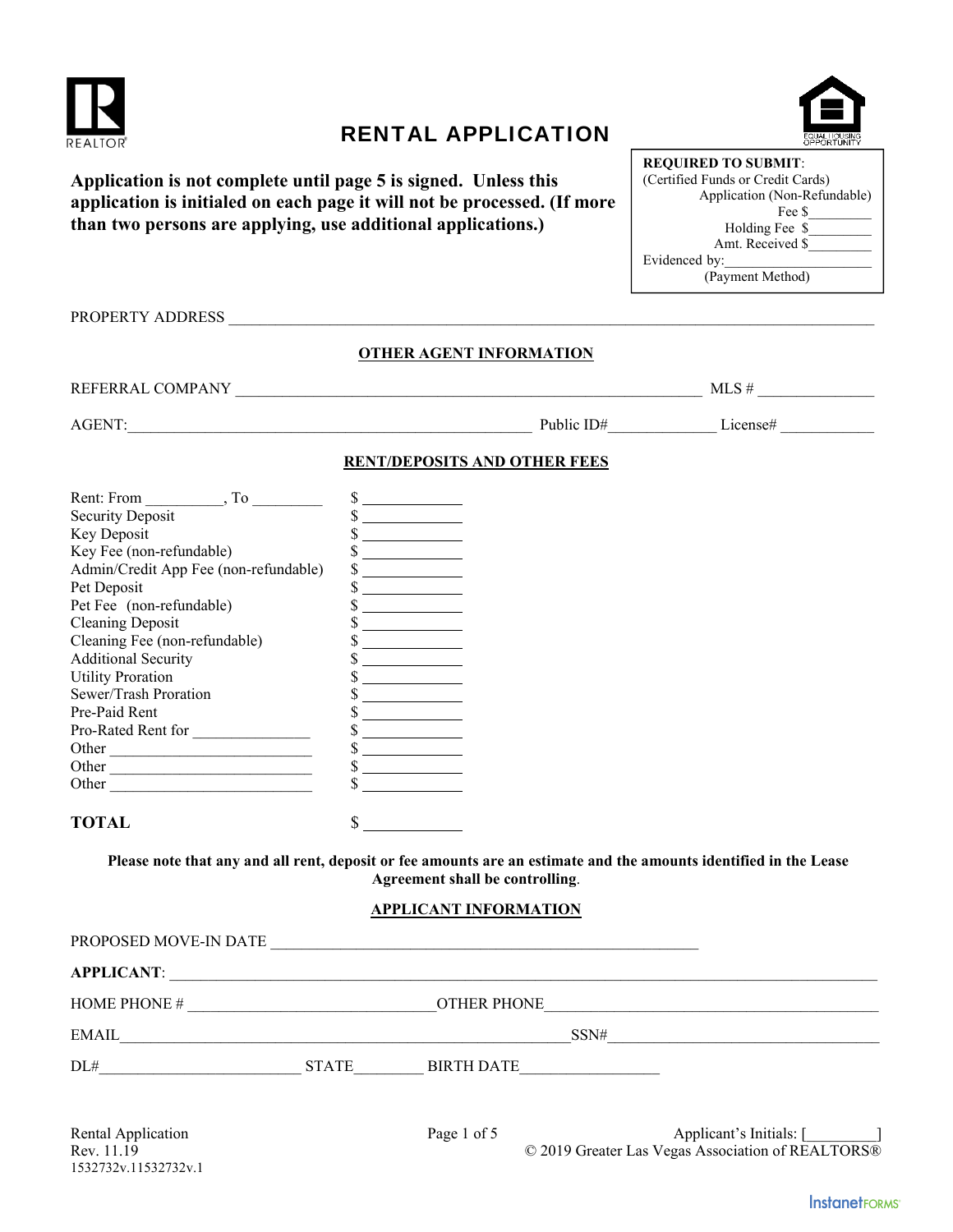

# RENTAL APPLICATION



| Application is not complete until page 5 is signed. Unless this          |
|--------------------------------------------------------------------------|
| application is initialed on each page it will not be processed. (If more |
| than two persons are applying, use additional applications.)             |

PROPERTY ADDRESS \_\_\_\_\_\_\_\_\_\_\_\_\_\_\_\_\_\_\_\_\_\_\_\_\_\_\_\_\_\_\_\_\_\_\_\_\_\_\_\_\_\_\_\_\_\_\_\_\_\_\_\_\_\_\_\_\_\_\_\_\_\_\_\_\_\_\_\_\_\_\_\_\_\_\_\_\_\_\_\_\_\_\_

## **OTHER AGENT INFORMATION**

REFERRAL COMPANY \_\_\_\_\_\_\_\_\_\_\_\_\_\_\_\_\_\_\_\_\_\_\_\_\_\_\_\_\_\_\_\_\_\_\_\_\_\_\_\_\_\_\_\_\_\_\_\_\_\_\_\_\_\_\_\_\_\_\_\_ MLS # \_\_\_\_\_\_\_\_\_\_\_\_\_\_\_

AGENT:\_\_\_\_\_\_\_\_\_\_\_\_\_\_\_\_\_\_\_\_\_\_\_\_\_\_\_\_\_\_\_\_\_\_\_\_\_\_\_\_\_\_\_\_\_\_\_\_\_\_\_\_ Public ID#\_\_\_\_\_\_\_\_\_\_\_\_\_\_ License# \_\_\_\_\_\_\_\_\_\_\_\_

# **RENT/DEPOSITS AND OTHER FEES**

| Rent: From<br>. To                                    | \$ |
|-------------------------------------------------------|----|
| <b>Security Deposit</b>                               |    |
| Key Deposit                                           |    |
| Key Fee (non-refundable)                              |    |
| Admin/Credit App Fee (non-refundable)                 |    |
| Pet Deposit                                           | \$ |
| Pet Fee (non-refundable)                              |    |
| <b>Cleaning Deposit</b>                               |    |
| Cleaning Fee (non-refundable)                         |    |
| <b>Additional Security</b>                            |    |
| <b>Utility Proration</b>                              |    |
| Sewer/Trash Proration                                 |    |
| Pre-Paid Rent                                         |    |
| Pro-Rated Rent for                                    |    |
| Other<br>the control of the control of the control of |    |
| Other                                                 |    |
| Other                                                 | \$ |
|                                                       |    |
| TOTAL                                                 | S  |

**Please note that any and all rent, deposit or fee amounts are an estimate and the amounts identified in the Lease Agreement shall be controlling**.

## **APPLICANT INFORMATION**

| PROPOSED MOVE-IN DATE |              |                    |      |  |
|-----------------------|--------------|--------------------|------|--|
| <b>APPLICANT:</b>     |              |                    |      |  |
| <b>HOME PHONE #</b>   |              | <b>OTHER PHONE</b> |      |  |
| EMAIL                 |              |                    | SSN# |  |
| DL#                   | <b>STATE</b> | <b>BIRTH DATE</b>  |      |  |
|                       |              |                    |      |  |

Rental Application Page 1 of 5 Applicant's Initials: [\_\_\_\_\_\_\_\_\_] Rev. 11.19 © 2019 Greater Las Vegas Association of REALTORS®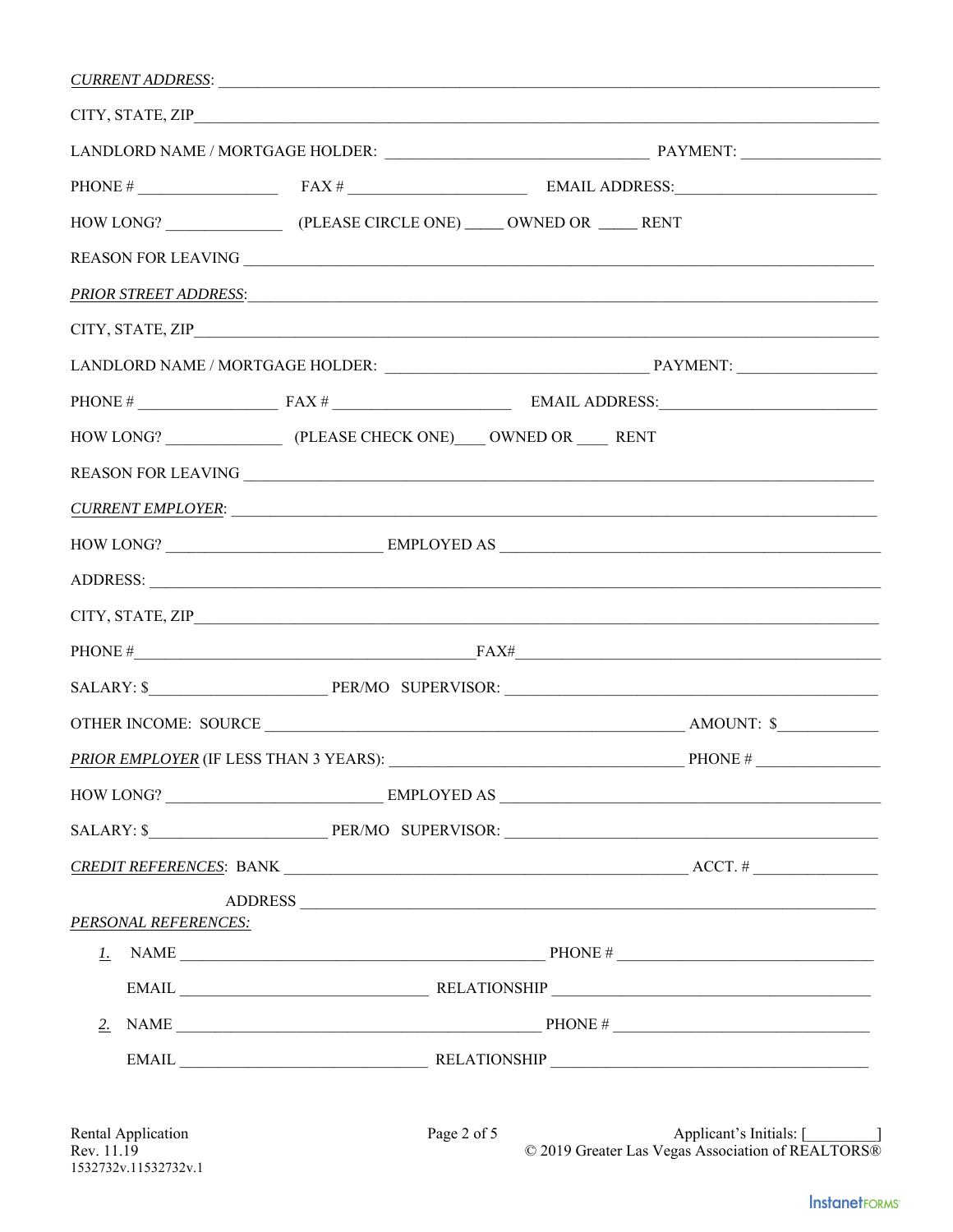| CURRENT ADDRESS:                       |             |  |                                          |  |  |
|----------------------------------------|-------------|--|------------------------------------------|--|--|
| CITY, STATE, ZIP                       |             |  |                                          |  |  |
|                                        |             |  |                                          |  |  |
|                                        |             |  |                                          |  |  |
|                                        |             |  |                                          |  |  |
|                                        |             |  |                                          |  |  |
|                                        |             |  |                                          |  |  |
|                                        |             |  |                                          |  |  |
|                                        |             |  |                                          |  |  |
|                                        |             |  |                                          |  |  |
|                                        |             |  |                                          |  |  |
|                                        |             |  |                                          |  |  |
| <u>CURRENT EMPLOYER:</u>               |             |  |                                          |  |  |
|                                        |             |  |                                          |  |  |
|                                        |             |  |                                          |  |  |
|                                        |             |  |                                          |  |  |
|                                        |             |  | PHONE $#$ FAX $#$                        |  |  |
|                                        |             |  |                                          |  |  |
|                                        |             |  |                                          |  |  |
| PRIOR EMPLOYER (IF LESS THAN 3 YEARS): |             |  | PHONE #                                  |  |  |
|                                        |             |  |                                          |  |  |
|                                        |             |  |                                          |  |  |
|                                        |             |  |                                          |  |  |
|                                        |             |  | ADDRESS                                  |  |  |
| PERSONAL REFERENCES:                   |             |  |                                          |  |  |
|                                        |             |  |                                          |  |  |
| 2.                                     |             |  | NAME $\overline{\phantom{a}}$ PHONE $\#$ |  |  |
|                                        |             |  |                                          |  |  |
|                                        |             |  |                                          |  |  |
| Rental Application                     | Page 2 of 5 |  | Applicant's Initials: [                  |  |  |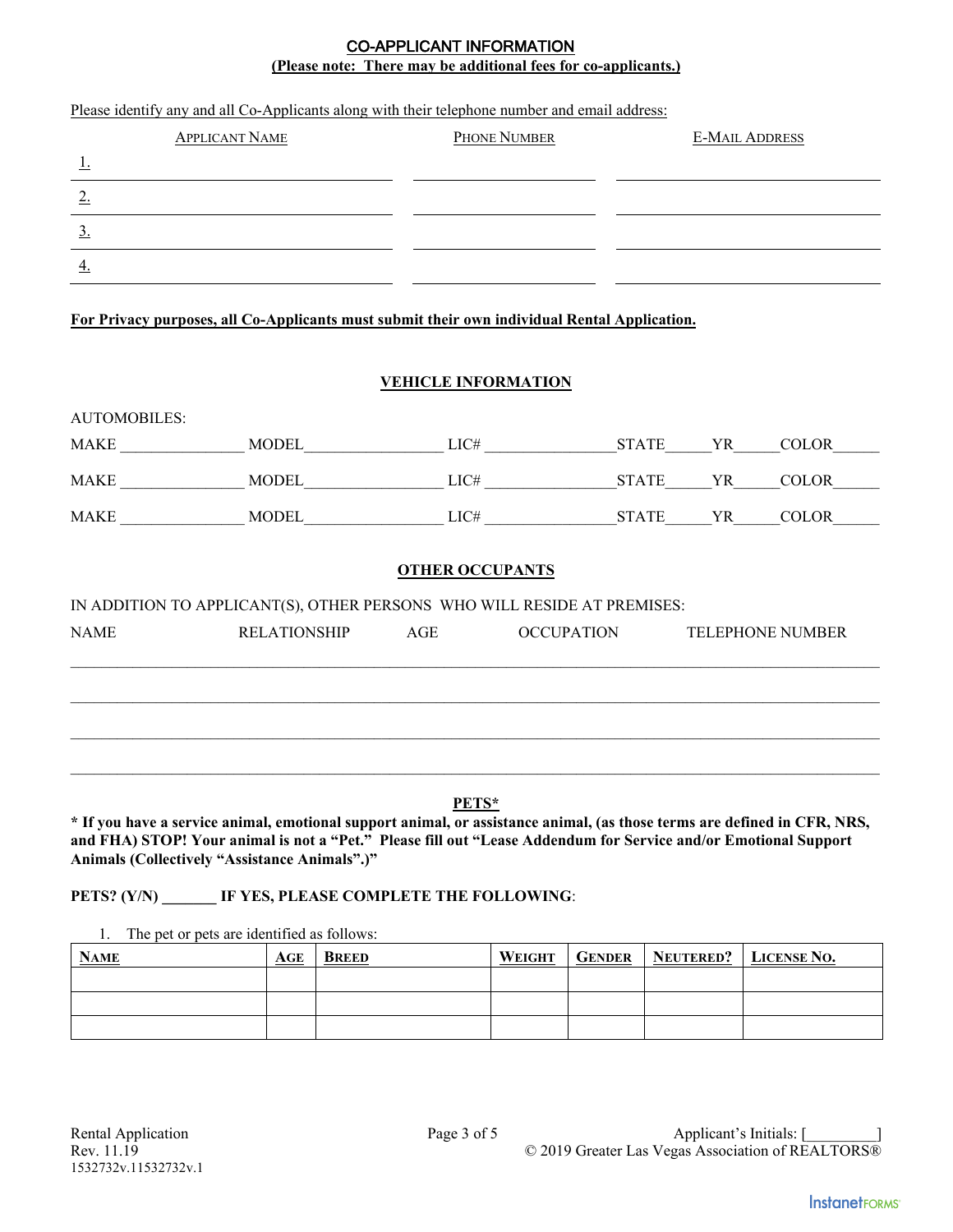## **(Please note: There may be additional fees for co-applicants.)** CO-APPLICANT INFORMATION

| <u>1.</u><br>2.     | <b>APPLICANT NAME</b>                                                                                                                                                                                                                                                                                                                                                       |                            | PHONE NUMBER | <b>E-MAIL ADDRESS</b> |                         |
|---------------------|-----------------------------------------------------------------------------------------------------------------------------------------------------------------------------------------------------------------------------------------------------------------------------------------------------------------------------------------------------------------------------|----------------------------|--------------|-----------------------|-------------------------|
|                     |                                                                                                                                                                                                                                                                                                                                                                             |                            |              |                       |                         |
|                     |                                                                                                                                                                                                                                                                                                                                                                             |                            |              |                       |                         |
| $\overline{3}$ .    |                                                                                                                                                                                                                                                                                                                                                                             |                            |              |                       |                         |
| $\overline{4}$ .    |                                                                                                                                                                                                                                                                                                                                                                             |                            |              |                       |                         |
|                     |                                                                                                                                                                                                                                                                                                                                                                             |                            |              |                       |                         |
|                     | For Privacy purposes, all Co-Applicants must submit their own individual Rental Application.                                                                                                                                                                                                                                                                                |                            |              |                       |                         |
|                     |                                                                                                                                                                                                                                                                                                                                                                             |                            |              |                       |                         |
|                     |                                                                                                                                                                                                                                                                                                                                                                             | <b>VEHICLE INFORMATION</b> |              |                       |                         |
| <b>AUTOMOBILES:</b> |                                                                                                                                                                                                                                                                                                                                                                             |                            |              |                       |                         |
|                     |                                                                                                                                                                                                                                                                                                                                                                             |                            |              |                       |                         |
|                     |                                                                                                                                                                                                                                                                                                                                                                             |                            |              |                       |                         |
|                     | $\begin{picture}(180,170) \put(0,0){\vector(1,0){10}} \put(15,0){\vector(1,0){10}} \put(15,0){\vector(1,0){10}} \put(15,0){\vector(1,0){10}} \put(15,0){\vector(1,0){10}} \put(15,0){\vector(1,0){10}} \put(15,0){\vector(1,0){10}} \put(15,0){\vector(1,0){10}} \put(15,0){\vector(1,0){10}} \put(15,0){\vector(1,0){10}} \put(15,0){\vector(1,0){10}} \put(15,0){\vector$ |                            |              |                       |                         |
|                     |                                                                                                                                                                                                                                                                                                                                                                             |                            |              |                       |                         |
|                     |                                                                                                                                                                                                                                                                                                                                                                             | <b>OTHER OCCUPANTS</b>     |              |                       |                         |
|                     | IN ADDITION TO APPLICANT(S), OTHER PERSONS WHO WILL RESIDE AT PREMISES:                                                                                                                                                                                                                                                                                                     |                            |              |                       |                         |
| <b>NAME</b>         | <b>RELATIONSHIP</b>                                                                                                                                                                                                                                                                                                                                                         | AGE                        | OCCUPATION   |                       | <b>TELEPHONE NUMBER</b> |

1. The pet or pets are identified as follows:

| <b>NAME</b> | AGE | <b>BREED</b> | WEIGHT | <b>GENDER   NEUTERED?   LICENSE NO.</b> |  |
|-------------|-----|--------------|--------|-----------------------------------------|--|
|             |     |              |        |                                         |  |
|             |     |              |        |                                         |  |
|             |     |              |        |                                         |  |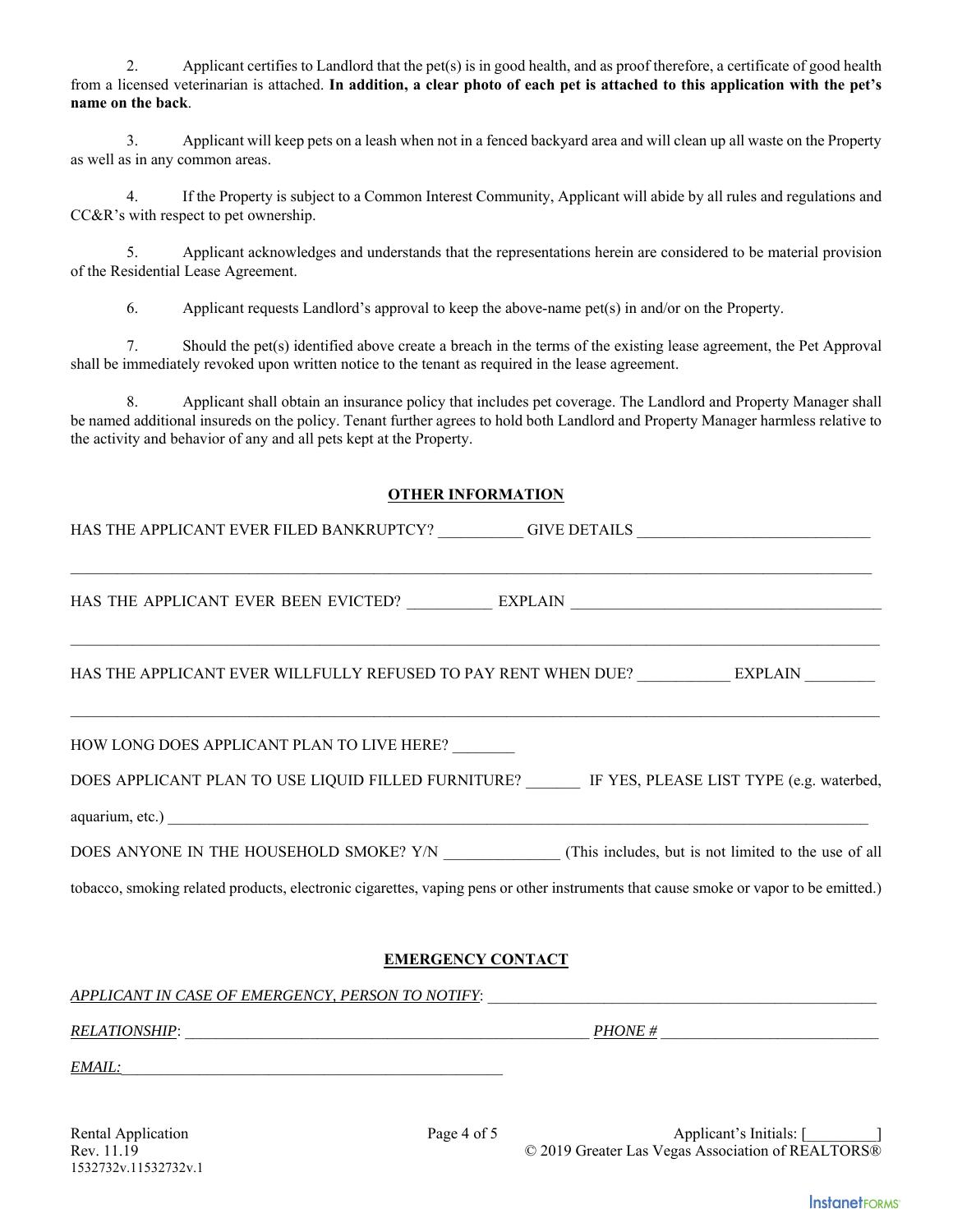2. Applicant certifies to Landlord that the pet(s) is in good health, and as proof therefore, a certificate of good health from a licensed veterinarian is attached. **In addition, a clear photo of each pet is attached to this application with the pet's name on the back**.

3. Applicant will keep pets on a leash when not in a fenced backyard area and will clean up all waste on the Property as well as in any common areas.

4. If the Property is subject to a Common Interest Community, Applicant will abide by all rules and regulations and CC&R's with respect to pet ownership.

 5. Applicant acknowledges and understands that the representations herein are considered to be material provision of the Residential Lease Agreement.

6. Applicant requests Landlord's approval to keep the above-name pet(s) in and/or on the Property.

 7. Should the pet(s) identified above create a breach in the terms of the existing lease agreement, the Pet Approval shall be immediately revoked upon written notice to the tenant as required in the lease agreement.

 8. Applicant shall obtain an insurance policy that includes pet coverage. The Landlord and Property Manager shall be named additional insureds on the policy. Tenant further agrees to hold both Landlord and Property Manager harmless relative to the activity and behavior of any and all pets kept at the Property.

#### **OTHER INFORMATION**

| HAS THE APPLICANT EVER FILED BANKRUPTCY? ___________GIVE DETAILS ________________                                                    |
|--------------------------------------------------------------------------------------------------------------------------------------|
|                                                                                                                                      |
|                                                                                                                                      |
| HAS THE APPLICANT EVER WILLFULLY REFUSED TO PAY RENT WHEN DUE? EXPLAIN                                                               |
| HOW LONG DOES APPLICANT PLAN TO LIVE HERE?                                                                                           |
| DOES APPLICANT PLAN TO USE LIQUID FILLED FURNITURE? IF YES, PLEASE LIST TYPE (e.g. waterbed,                                         |
|                                                                                                                                      |
| DOES ANYONE IN THE HOUSEHOLD SMOKE? Y/N (This includes, but is not limited to the use of all                                         |
| tobacco, smoking related products, electronic cigarettes, vaping pens or other instruments that cause smoke or vapor to be emitted.) |
| EMEDCENCY CONT <i>L</i> CT                                                                                                           |

## **EMERGENCY CONTACT**

*APPLICANT IN CASE OF EMERGENCY, PERSON TO NOTIFY*: \_\_\_\_\_\_\_\_\_\_\_\_\_\_\_\_\_\_\_\_\_\_\_\_\_\_\_\_\_\_\_\_\_\_\_\_\_\_\_\_\_\_\_\_\_\_\_\_\_\_

*RELATIONSHIP*: \_\_\_\_\_\_\_\_\_\_\_\_\_\_\_\_\_\_\_\_\_\_\_\_\_\_\_\_\_\_\_\_\_\_\_\_\_\_\_\_\_\_\_\_\_\_\_\_\_\_\_\_ *PHONE #* \_\_\_\_\_\_\_\_\_\_\_\_\_\_\_\_\_\_\_\_\_\_\_\_\_\_\_\_

 $EMAIL:$ 

1532732v.11532732v.1